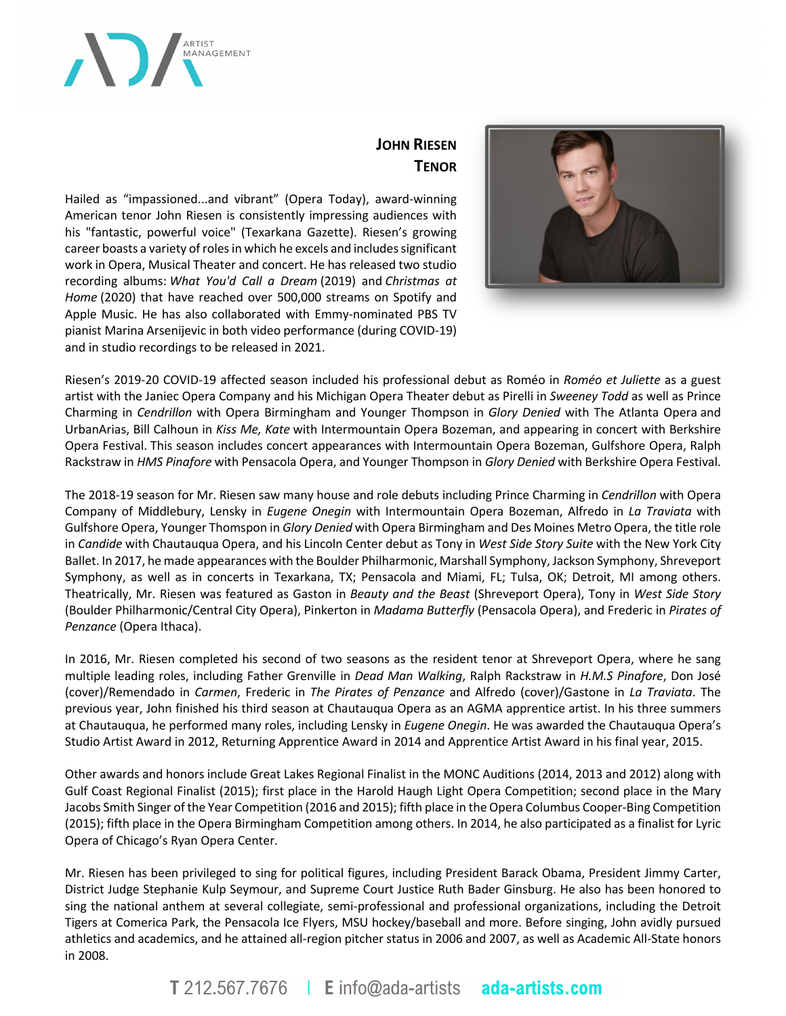

# **JOHN RIESEN TENOR**

Hailed as "impassioned...and vibrant" (Opera Today), award-winning American tenor John Riesen is consistently impressing audiences with his "fantastic, powerful voice" (Texarkana Gazette). Riesen's growing career boasts a variety of roles in which he excels and includes significant work in Opera, Musical Theater and concert. He has released two studio recording albums: *What You'd Call a Dream* (2019) and *Christmas at Home* (2020) that have reached over 500,000 streams on Spotify and Apple Music. He has also collaborated with Emmy-nominated PBS TV pianist Marina Arsenijevic in both video performance (during COVID-19) and in studio recordings to be released in 2021.



Riesen's 2019-20 COVID-19 affected season included his professional debut as Roméo in *Roméo et Juliette* as a guest artist with the Janiec Opera Company and his Michigan Opera Theater debut as Pirelli in *Sweeney Todd* as well as Prince Charming in *Cendrillon* with Opera Birmingham and Younger Thompson in *Glory Denied* with The Atlanta Opera and UrbanArias, Bill Calhoun in *Kiss Me, Kate* with Intermountain Opera Bozeman, and appearing in concert with Berkshire Opera Festival. This season includes concert appearances with Intermountain Opera Bozeman, Gulfshore Opera, Ralph Rackstraw in *HMS Pinafore* with Pensacola Opera, and Younger Thompson in *Glory Denied* with Berkshire Opera Festival.

The 2018-19 season for Mr. Riesen saw many house and role debuts including Prince Charming in *Cendrillon* with Opera Company of Middlebury, Lensky in *Eugene Onegin* with Intermountain Opera Bozeman, Alfredo in *La Traviata* with Gulfshore Opera, Younger Thomspon in *Glory Denied* with Opera Birmingham and Des Moines Metro Opera, the title role in *Candide* with Chautauqua Opera, and his Lincoln Center debut as Tony in *West Side Story Suite* with the New York City Ballet. In 2017, he made appearances with the Boulder Philharmonic, Marshall Symphony, Jackson Symphony, Shreveport Symphony, as well as in concerts in Texarkana, TX; Pensacola and Miami, FL; Tulsa, OK; Detroit, MI among others. Theatrically, Mr. Riesen was featured as Gaston in *Beauty and the Beast* (Shreveport Opera), Tony in *West Side Story* (Boulder Philharmonic/Central City Opera), Pinkerton in *Madama Butterfly* (Pensacola Opera), and Frederic in *Pirates of Penzance* (Opera Ithaca).

In 2016, Mr. Riesen completed his second of two seasons as the resident tenor at Shreveport Opera, where he sang multiple leading roles, including Father Grenville in *Dead Man Walking*, Ralph Rackstraw in *H.M.S Pinafore*, Don José (cover)/Remendado in *Carmen*, Frederic in *The Pirates of Penzance* and Alfredo (cover)/Gastone in *La Traviata*. The previous year, John finished his third season at Chautauqua Opera as an AGMA apprentice artist. In his three summers at Chautauqua, he performed many roles, including Lensky in *Eugene Onegin*. He was awarded the Chautauqua Opera's Studio Artist Award in 2012, Returning Apprentice Award in 2014 and Apprentice Artist Award in his final year, 2015.

Other awards and honors include Great Lakes Regional Finalist in the MONC Auditions (2014, 2013 and 2012) along with Gulf Coast Regional Finalist (2015); first place in the Harold Haugh Light Opera Competition; second place in the Mary Jacobs Smith Singer of the Year Competition (2016 and 2015); fifth place in the Opera Columbus Cooper-Bing Competition (2015); fifth place in the Opera Birmingham Competition among others. In 2014, he also participated as a finalist for Lyric Opera of Chicago's Ryan Opera Center.

Mr. Riesen has been privileged to sing for political figures, including President Barack Obama, President Jimmy Carter, District Judge Stephanie Kulp Seymour, and Supreme Court Justice Ruth Bader Ginsburg. He also has been honored to sing the national anthem at several collegiate, semi-professional and professional organizations, including the Detroit Tigers at Comerica Park, the Pensacola Ice Flyers, MSU hockey/baseball and more. Before singing, John avidly pursued athletics and academics, and he attained all-region pitcher status in 2006 and 2007, as well as Academic All-State honors in 2008.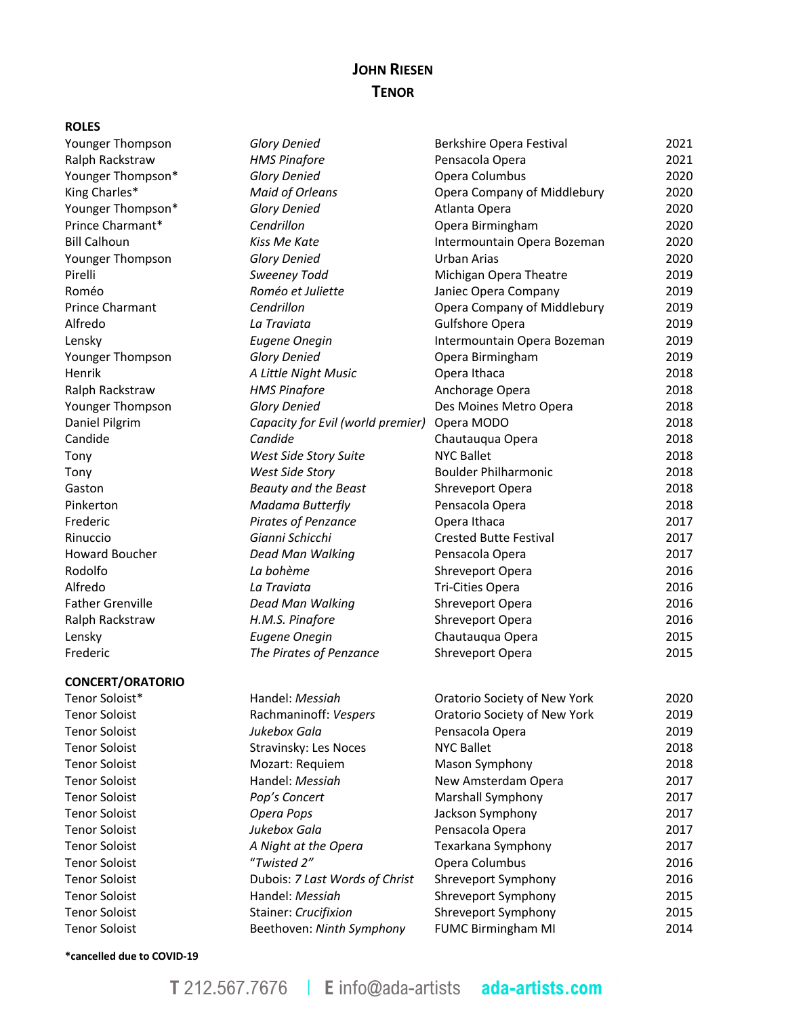# **JOHN RIESEN TENOR**

#### **ROLES**

#### **CONCERT/ORATORIO**

Tenor Soloist<sup>\*</sup> Messiah Oratorio Society of New York 2021 Tenor Soloist "*Twisted 2"* Opera Columbus 2016 Tenor Soloist Dubois: *7 Last Words of Christ* Shreveport Symphony 2016 Tenor Soloist Handel: *Messiah* Shreveport Symphony 2015 Tenor Soloist Stainer: *Crucifixion* Shreveport Symphony 2015 Tenor Soloist Beethoven: *Ninth Symphony* FUMC Birmingham MI 2014

| Younger Thompson        | <b>Glory Denied</b>               | Berkshire Opera Festival      | 2021 |
|-------------------------|-----------------------------------|-------------------------------|------|
| Ralph Rackstraw         | <b>HMS Pinafore</b>               | Pensacola Opera               | 2021 |
| Younger Thompson*       | <b>Glory Denied</b>               | Opera Columbus                | 2020 |
| King Charles*           | <b>Maid of Orleans</b>            | Opera Company of Middlebury   | 2020 |
| Younger Thompson*       | <b>Glory Denied</b>               | Atlanta Opera                 | 2020 |
| Prince Charmant*        | Cendrillon                        | Opera Birmingham              | 2020 |
| <b>Bill Calhoun</b>     | Kiss Me Kate                      | Intermountain Opera Bozeman   | 2020 |
| Younger Thompson        | <b>Glory Denied</b>               | Urban Arias                   | 2020 |
| Pirelli                 | Sweeney Todd                      | Michigan Opera Theatre        | 2019 |
| Roméo                   | Roméo et Juliette                 | Janiec Opera Company          | 2019 |
| <b>Prince Charmant</b>  | Cendrillon                        | Opera Company of Middlebury   | 2019 |
| Alfredo                 | La Traviata                       | <b>Gulfshore Opera</b>        | 2019 |
| Lensky                  | <b>Eugene Onegin</b>              | Intermountain Opera Bozeman   | 2019 |
| Younger Thompson        | <b>Glory Denied</b>               | Opera Birmingham              | 2019 |
| Henrik                  | A Little Night Music              | Opera Ithaca                  | 2018 |
| Ralph Rackstraw         | <b>HMS Pinafore</b>               | Anchorage Opera               | 2018 |
| Younger Thompson        | <b>Glory Denied</b>               | Des Moines Metro Opera        | 2018 |
| Daniel Pilgrim          | Capacity for Evil (world premier) | Opera MODO                    | 2018 |
| Candide                 | Candide                           | Chautauqua Opera              | 2018 |
| Tony                    | West Side Story Suite             | <b>NYC Ballet</b>             | 2018 |
| Tony                    | West Side Story                   | <b>Boulder Philharmonic</b>   | 2018 |
| Gaston                  | <b>Beauty and the Beast</b>       | Shreveport Opera              | 2018 |
| Pinkerton               | Madama Butterfly                  | Pensacola Opera               | 2018 |
| Frederic                | Pirates of Penzance               | Opera Ithaca                  | 2017 |
| Rinuccio                | Gianni Schicchi                   | <b>Crested Butte Festival</b> | 2017 |
| Howard Boucher          | Dead Man Walking                  | Pensacola Opera               | 2017 |
| Rodolfo                 | La bohème                         | Shreveport Opera              | 2016 |
| Alfredo                 | La Traviata                       | <b>Tri-Cities Opera</b>       | 2016 |
| <b>Father Grenville</b> | Dead Man Walking                  | Shreveport Opera              | 2016 |
| Ralph Rackstraw         | H.M.S. Pinafore                   | Shreveport Opera              | 2016 |
| Lensky                  | <b>Eugene Onegin</b>              | Chautauqua Opera              | 2015 |
| Frederic                | The Pirates of Penzance           | Shreveport Opera              | 2015 |
| <b>CONCERT/ORATORIO</b> |                                   |                               |      |
| Tenor Soloist*          | Handel: Messiah                   | Oratorio Society of New York  | 2020 |
| <b>Tenor Soloist</b>    | Rachmaninoff: Vespers             | Oratorio Society of New York  | 2019 |
| <b>Tenor Soloist</b>    | Jukebox Gala                      | Pensacola Opera               | 2019 |
| <b>Tenor Soloist</b>    | Stravinsky: Les Noces             | <b>NYC Ballet</b>             | 2018 |
| <b>Tenor Soloist</b>    | Mozart: Requiem                   | Mason Symphony                | 2018 |
| <b>Tenor Soloist</b>    | Handel: Messiah                   | New Amsterdam Opera           | 2017 |
| <b>Tenor Soloist</b>    | Pop's Concert                     | Marshall Symphony             | 2017 |
| <b>Tenor Soloist</b>    | Opera Pops                        | Jackson Symphony              | 2017 |
| <b>Tenor Soloist</b>    | Jukebox Gala                      | Pensacola Opera               | 2017 |
| <b>Tenor Soloist</b>    | A Night at the Opera              | Texarkana Symphony            | 2017 |
| <b>Tenor Soloist</b>    | "Twisted 2"                       | Opera Columbus                | 2016 |

**\*cancelled due to COVID-19**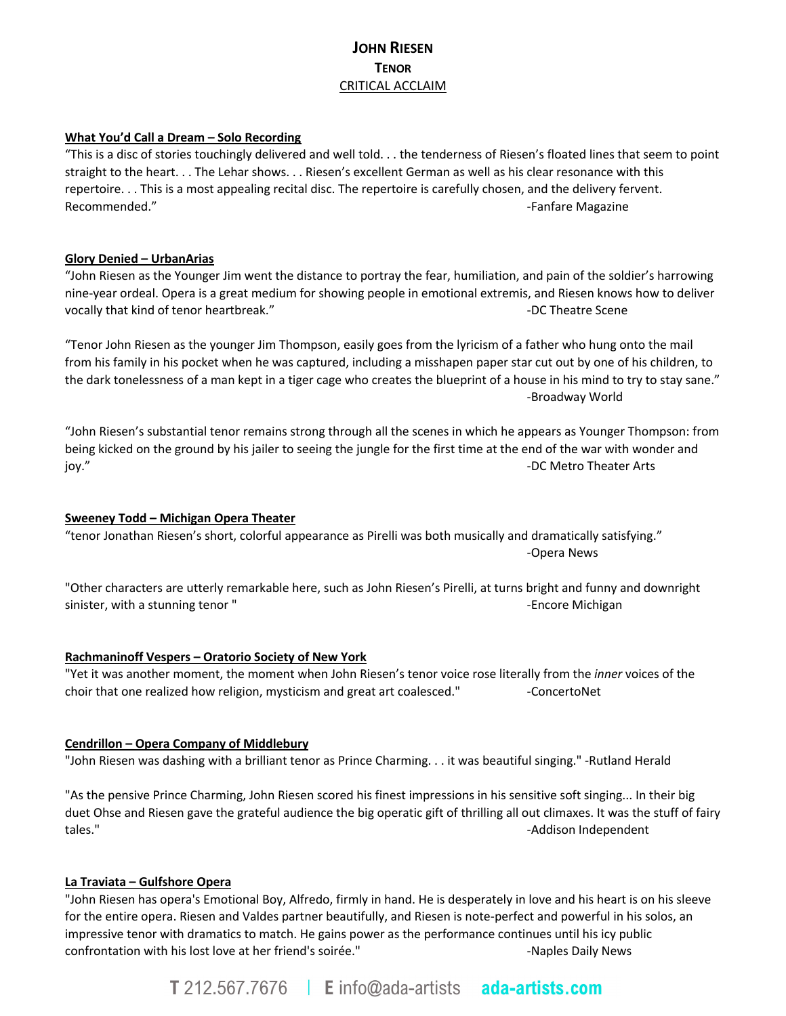# **JOHN RIESEN TENOR** CRITICAL ACCLAIM

#### **What You'd Call a Dream – Solo Recording**

"This is a disc of stories touchingly delivered and well told. . . the tenderness of Riesen's floated lines that seem to point straight to the heart. . . The Lehar shows. . . Riesen's excellent German as well as his clear resonance with this repertoire. . . This is a most appealing recital disc. The repertoire is carefully chosen, and the delivery fervent. Recommended." The commended of the commended of the commended." The commended of the commended of the commended of the commended of the commended of the commended of the commended of the commended of the commended of the c

#### **Glory Denied – UrbanArias**

"John Riesen as the Younger Jim went the distance to portray the fear, humiliation, and pain of the soldier's harrowing nine-year ordeal. Opera is a great medium for showing people in emotional extremis, and Riesen knows how to deliver vocally that kind of tenor heartbreak." The state of the state Scene scene and the state Scene scene scene scene

"Tenor John Riesen as the younger Jim Thompson, easily goes from the lyricism of a father who hung onto the mail from his family in his pocket when he was captured, including a misshapen paper star cut out by one of his children, to the dark tonelessness of a man kept in a tiger cage who creates the blueprint of a house in his mind to try to stay sane." -Broadway World

"John Riesen's substantial tenor remains strong through all the scenes in which he appears as Younger Thompson: from being kicked on the ground by his jailer to seeing the jungle for the first time at the end of the war with wonder and joy." A contract the contract of the contract of the contract of the contract of the contract of the contract of the contract of the contract of the contract of the contract of the contract of the contract of the contract

#### **Sweeney Todd – Michigan Opera Theater**

"tenor Jonathan Riesen's short, colorful appearance as Pirelli was both musically and dramatically satisfying." -Opera News

"Other characters are utterly remarkable here, such as John Riesen's Pirelli, at turns bright and funny and downright sinister, with a stunning tenor "  $\blacksquare$ 

#### **Rachmaninoff Vespers – Oratorio Society of New York**

"Yet it was another moment, the moment when John Riesen's tenor voice rose literally from the *inner* voices of the choir that one realized how religion, mysticism and great art coalesced." - ConcertoNet

#### **Cendrillon – Opera Company of Middlebury**

"John Riesen was dashing with a brilliant tenor as Prince Charming. . . it was beautiful singing." -Rutland Herald

"As the pensive Prince Charming, John Riesen scored his finest impressions in his sensitive soft singing... In their big duet Ohse and Riesen gave the grateful audience the big operatic gift of thrilling all out climaxes. It was the stuff of fairy tales." The contract of the contract of the contract of the contract of the contract of the contract of the contract of the contract of the contract of the contract of the contract of the contract of the contract of the co

#### **La Traviata – Gulfshore Opera**

"John Riesen has opera's Emotional Boy, Alfredo, firmly in hand. He is desperately in love and his heart is on his sleeve for the entire opera. Riesen and Valdes partner beautifully, and Riesen is note-perfect and powerful in his solos, an impressive tenor with dramatics to match. He gains power as the performance continues until his icy public confrontation with his lost love at her friend's soirée." The Confrontation with his lost love at her friend's soirée."